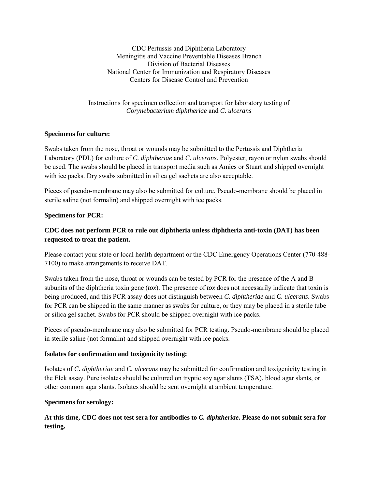CDC Pertussis and Diphtheria Laboratory Meningitis and Vaccine Preventable Diseases Branch Division of Bacterial Diseases National Center for Immunization and Respiratory Diseases Centers for Disease Control and Prevention

Instructions for specimen collection and transport for laboratory testing of *Corynebacterium diphtheriae* and *C. ulcerans*

#### **Specimens for culture:**

Swabs taken from the nose, throat or wounds may be submitted to the Pertussis and Diphtheria Laboratory (PDL) for culture of *C. diphtheriae* and *C. ulcerans*. Polyester, rayon or nylon swabs should be used. The swabs should be placed in transport media such as Amies or Stuart and shipped overnight with ice packs. Dry swabs submitted in silica gel sachets are also acceptable.

Pieces of pseudo-membrane may also be submitted for culture. Pseudo-membrane should be placed in sterile saline (not formalin) and shipped overnight with ice packs.

### **Specimens for PCR:**

# **CDC does not perform PCR to rule out diphtheria unless diphtheria anti-toxin (DAT) has been requested to treat the patient.**

Please contact your state or local health department or the CDC Emergency Operations Center (770-488- 7100) to make arrangements to receive DAT.

Swabs taken from the nose, throat or wounds can be tested by PCR for the presence of the A and B subunits of the diphtheria toxin gene (*tox*). The presence of *tox* does not necessarily indicate that toxin is being produced, and this PCR assay does not distinguish between *C. diphtheriae* and *C. ulcerans*. Swabs for PCR can be shipped in the same manner as swabs for culture, or they may be placed in a sterile tube or silica gel sachet. Swabs for PCR should be shipped overnight with ice packs.

Pieces of pseudo-membrane may also be submitted for PCR testing. Pseudo-membrane should be placed in sterile saline (not formalin) and shipped overnight with ice packs.

#### **Isolates for confirmation and toxigenicity testing:**

Isolates of *C. diphtheriae* and *C. ulcerans* may be submitted for confirmation and toxigenicity testing in the Elek assay. Pure isolates should be cultured on tryptic soy agar slants (TSA), blood agar slants, or other common agar slants. Isolates should be sent overnight at ambient temperature.

#### **Specimens for serology:**

**At this time, CDC does not test sera for antibodies to** *C. diphtheriae***. Please do not submit sera for testing.**